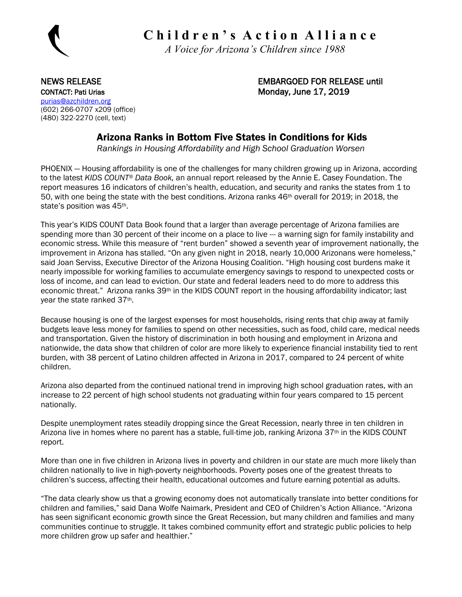

 **C h i l d r e n ' s A c t i o n A l l i a n c e**

 *A Voice for Arizona's Children since 1988*

CONTACT: Pati Urias CONTACT: Pati Urias CONTACT: Pati Urias CONTACT: Pati Urias CONTACT: Pati Urias CONTACT: P [purias@azchildren.org](mailto:purias@azchildren.org)  (602) 266-0707 x209 (office) (480) 322-2270 (cell, text)

NEWS RELEASE EMBARGOED FOR RELEASE until

### Arizona Ranks in Bottom Five States in Conditions for Kids

*Rankings in Housing Affordability and High School Graduation Worsen*

PHOENIX — Housing affordability is one of the challenges for many children growing up in Arizona, according to the latest *KIDS COUNT® Data Book,* an annual report released by the Annie E. Casey Foundation. The report measures 16 indicators of children's health, education, and security and ranks the states from 1 to 50, with one being the state with the best conditions. Arizona ranks 46th overall for 2019; in 2018, the state's position was 45<sup>th</sup>.

This year's KIDS COUNT Data Book found that a larger than average percentage of Arizona families are spending more than 30 percent of their income on a place to live --- a warning sign for family instability and economic stress. While this measure of "rent burden" showed a seventh year of improvement nationally, the improvement in Arizona has stalled. "On any given night in 2018, nearly 10,000 Arizonans were homeless," said Joan Serviss, Executive Director of the Arizona Housing Coalition. "High housing cost burdens make it nearly impossible for working families to accumulate emergency savings to respond to unexpected costs or loss of income, and can lead to eviction. Our state and federal leaders need to do more to address this economic threat." Arizona ranks 39<sup>th</sup> in the KIDS COUNT report in the housing affordability indicator; last year the state ranked 37th.

Because housing is one of the largest expenses for most households, rising rents that chip away at family budgets leave less money for families to spend on other necessities, such as food, child care, medical needs and transportation. Given the history of discrimination in both housing and employment in Arizona and nationwide, the data show that children of color are more likely to experience financial instability tied to rent burden, with 38 percent of Latino children affected in Arizona in 2017, compared to 24 percent of white children.

Arizona also departed from the continued national trend in improving high school graduation rates, with an increase to 22 percent of high school students not graduating within four years compared to 15 percent nationally.

Despite unemployment rates steadily dropping since the Great Recession, nearly three in ten children in Arizona live in homes where no parent has a stable, full-time job, ranking Arizona 37th in the KIDS COUNT report.

More than one in five children in Arizona lives in poverty and children in our state are much more likely than children nationally to live in high-poverty neighborhoods. Poverty poses one of the greatest threats to children's success, affecting their health, educational outcomes and future earning potential as adults.

"The data clearly show us that a growing economy does not automatically translate into better conditions for children and families," said Dana Wolfe Naimark, President and CEO of Children's Action Alliance. "Arizona has seen significant economic growth since the Great Recession, but many children and families and many communities continue to struggle. It takes combined community effort and strategic public policies to help more children grow up safer and healthier."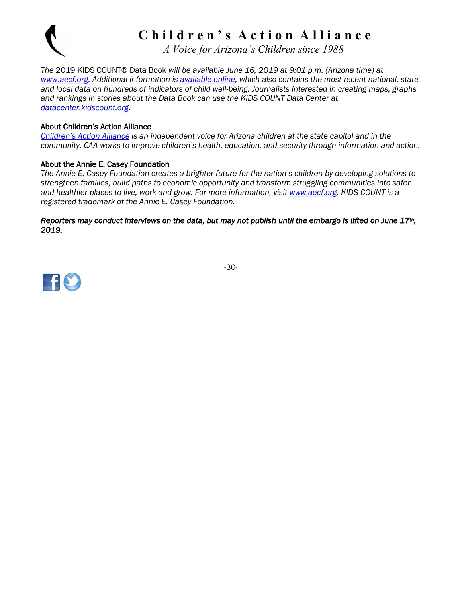

# **C h i l d r e n ' s A c t i o n A l l i a n c e**

 *A Voice for Arizona's Children since 1988*

*The* 2019 KIDS COUNT® Data Book *will be available June 16, 2019 at 9:01 p.m. (Arizona time) at [www.aecf.org.](http://www.aecf.org/) Additional information is [available online,](https://www.aecf.org/resources/2019-kids-count-data-book/) which also contains the most recent national, state and local data on hundreds of indicators of child well-being. Journalists interested in creating maps, graphs and rankings in stories about the Data Book can use the KIDS COUNT Data Center at [datacenter.kidscount.org.](https://datacenter.kidscount.org/)*

#### About Children's Action Alliance

*[Children's Action Alliance](http://www.azchildren.org/) is an independent voice for Arizona children at the state capitol and in the community. CAA works to improve children's health, education, and security through information and action.*

#### About the Annie E. Casey Foundation

*The Annie E. Casey Foundation creates a brighter future for the nation's children by developing solutions to strengthen families, build paths to economic opportunity and transform struggling communities into safer and healthier places to live, work and grow. For more information, visit [www.aecf.org.](http://www.aecf.org/) KIDS COUNT is a registered trademark of the Annie E. Casey Foundation.*

*Reporters may conduct interviews on the data, but may not publish until the embargo is lifted on June 17th, 2019.* 



-30-